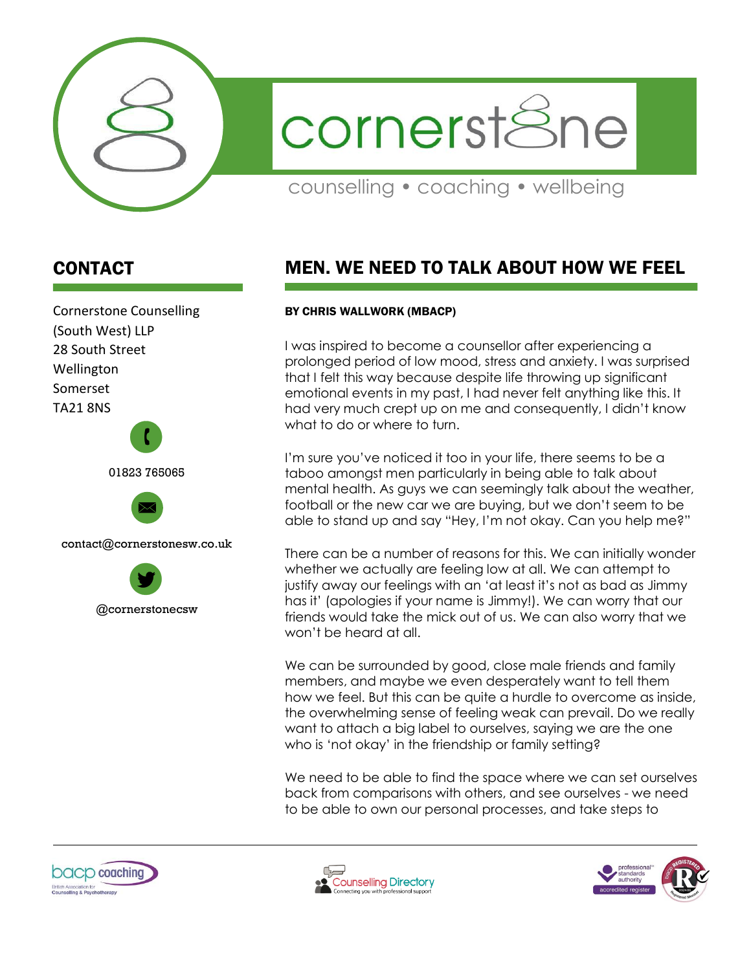

cornerst&ne

counselling • coaching • wellbeing

## CONTACT

Cornerstone Counselling (South West) LLP 28 South Street Wellington Somerset TA21 8NS 01823 765065  $\mathbf{r}$ 



contact@cornerstonesw.co.uk



## MEN. WE NEED TO TALK ABOUT HOW WE FEEL

## BY CHRIS WALLWORK (MBACP)

I was inspired to become a counsellor after experiencing a prolonged period of low mood, stress and anxiety. I was surprised that I felt this way because despite life throwing up significant emotional events in my past, I had never felt anything like this. It had very much crept up on me and consequently, I didn't know what to do or where to turn.

I'm sure you've noticed it too in your life, there seems to be a taboo amongst men particularly in being able to talk about mental health. As guys we can seemingly talk about the weather, football or the new car we are buying, but we don't seem to be able to stand up and say "Hey, I'm not okay. Can you help me?"

There can be a number of reasons for this. We can initially wonder whether we actually are feeling low at all. We can attempt to justify away our feelings with an 'at least it's not as bad as Jimmy has it' (apologies if your name is Jimmy!). We can worry that our friends would take the mick out of us. We can also worry that we won't be heard at all.

We can be surrounded by good, close male friends and family members, and maybe we even desperately want to tell them how we feel. But this can be quite a hurdle to overcome as inside, the overwhelming sense of feeling weak can prevail. Do we really want to attach a big label to ourselves, saying we are the one who is 'not okay' in the friendship or family setting?

We need to be able to find the space where we can set ourselves back from comparisons with others, and see ourselves - we need to be able to own our personal processes, and take steps to